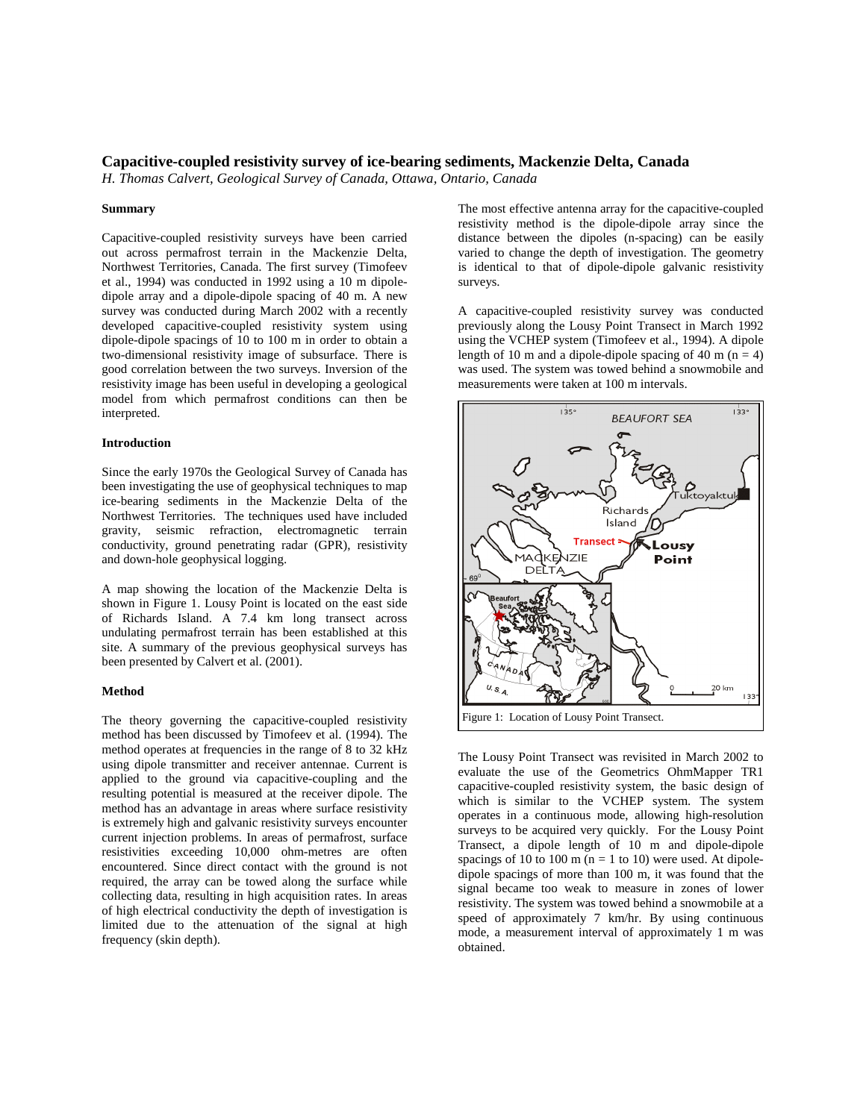# **Capacitive-coupled resistivity survey of ice-bearing sediments, Mackenzie Delta, Canada**

*H. Thomas Calvert, Geological Survey of Canada, Ottawa, Ontario, Canada*

## **Summary**

Capacitive-coupled resistivity surveys have been carried out across permafrost terrain in the Mackenzie Delta, Northwest Territories, Canada. The first survey (Timofeev et al., 1994) was conducted in 1992 using a 10 m dipoledipole array and a dipole-dipole spacing of 40 m. A new survey was conducted during March 2002 with a recently developed capacitive-coupled resistivity system using dipole-dipole spacings of 10 to 100 m in order to obtain a two-dimensional resistivity image of subsurface. There is good correlation between the two surveys. Inversion of the resistivity image has been useful in developing a geological model from which permafrost conditions can then be interpreted.

## **Introduction**

Since the early 1970s the Geological Survey of Canada has been investigating the use of geophysical techniques to map ice-bearing sediments in the Mackenzie Delta of the Northwest Territories. The techniques used have included gravity, seismic refraction, electromagnetic terrain conductivity, ground penetrating radar (GPR), resistivity and down-hole geophysical logging.

A map showing the location of the Mackenzie Delta is shown in Figure 1. Lousy Point is located on the east side of Richards Island. A 7.4 km long transect across undulating permafrost terrain has been established at this site. A summary of the previous geophysical surveys has been presented by Calvert et al. (2001).

### **Method**

The theory governing the capacitive-coupled resistivity method has been discussed by Timofeev et al. (1994). The method operates at frequencies in the range of 8 to 32 kHz using dipole transmitter and receiver antennae. Current is applied to the ground via capacitive-coupling and the resulting potential is measured at the receiver dipole. The method has an advantage in areas where surface resistivity is extremely high and galvanic resistivity surveys encounter current injection problems. In areas of permafrost, surface resistivities exceeding 10,000 ohm-metres are often encountered. Since direct contact with the ground is not required, the array can be towed along the surface while collecting data, resulting in high acquisition rates. In areas of high electrical conductivity the depth of investigation is limited due to the attenuation of the signal at high frequency (skin depth).

The most effective antenna array for the capacitive-coupled resistivity method is the dipole-dipole array since the distance between the dipoles (n-spacing) can be easily varied to change the depth of investigation. The geometry is identical to that of dipole-dipole galvanic resistivity surveys.

A capacitive-coupled resistivity survey was conducted previously along the Lousy Point Transect in March 1992 using the VCHEP system (Timofeev et al., 1994). A dipole length of 10 m and a dipole-dipole spacing of 40 m ( $n = 4$ ) was used. The system was towed behind a snowmobile and measurements were taken at 100 m intervals.



The Lousy Point Transect was revisited in March 2002 to evaluate the use of the Geometrics OhmMapper TR1 capacitive-coupled resistivity system, the basic design of which is similar to the VCHEP system. The system operates in a continuous mode, allowing high-resolution surveys to be acquired very quickly. For the Lousy Point Transect, a dipole length of 10 m and dipole-dipole spacings of 10 to 100 m ( $n = 1$  to 10) were used. At dipoledipole spacings of more than 100 m, it was found that the signal became too weak to measure in zones of lower resistivity. The system was towed behind a snowmobile at a speed of approximately 7 km/hr. By using continuous mode, a measurement interval of approximately 1 m was obtained.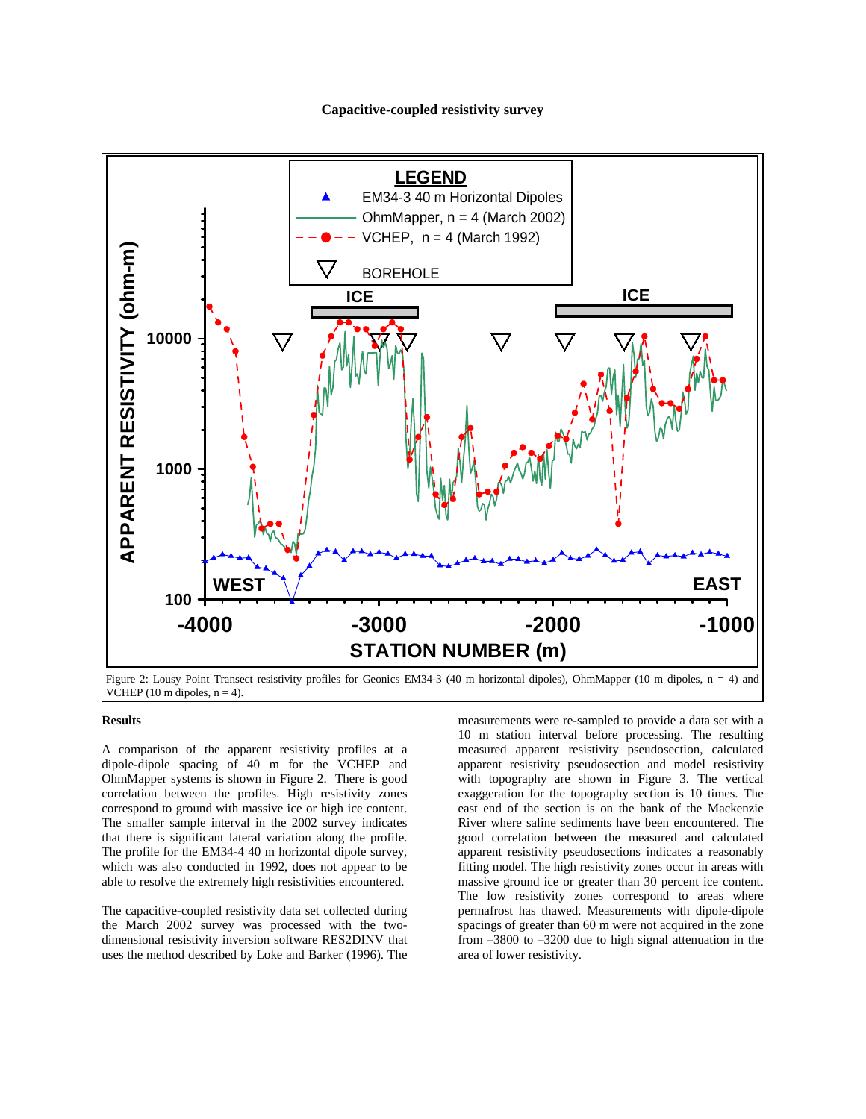## **Capacitive-coupled resistivity survey**



VCHEP (10 m dipoles,  $n = 4$ ).

# **Results**

A comparison of the apparent resistivity profiles at a dipole-dipole spacing of 40 m for the VCHEP and OhmMapper systems is shown in Figure 2. There is good correlation between the profiles. High resistivity zones correspond to ground with massive ice or high ice content. The smaller sample interval in the 2002 survey indicates that there is significant lateral variation along the profile. The profile for the EM34-4 40 m horizontal dipole survey, which was also conducted in 1992, does not appear to be able to resolve the extremely high resistivities encountered.

The capacitive-coupled resistivity data set collected during the March 2002 survey was processed with the twodimensional resistivity inversion software RES2DINV that uses the method described by Loke and Barker (1996). The measurements were re-sampled to provide a data set with a 10 m station interval before processing. The resulting measured apparent resistivity pseudosection, calculated apparent resistivity pseudosection and model resistivity with topography are shown in Figure 3. The vertical exaggeration for the topography section is 10 times. The east end of the section is on the bank of the Mackenzie River where saline sediments have been encountered. The good correlation between the measured and calculated apparent resistivity pseudosections indicates a reasonably fitting model. The high resistivity zones occur in areas with massive ground ice or greater than 30 percent ice content. The low resistivity zones correspond to areas where permafrost has thawed. Measurements with dipole-dipole spacings of greater than 60 m were not acquired in the zone from –3800 to –3200 due to high signal attenuation in the area of lower resistivity.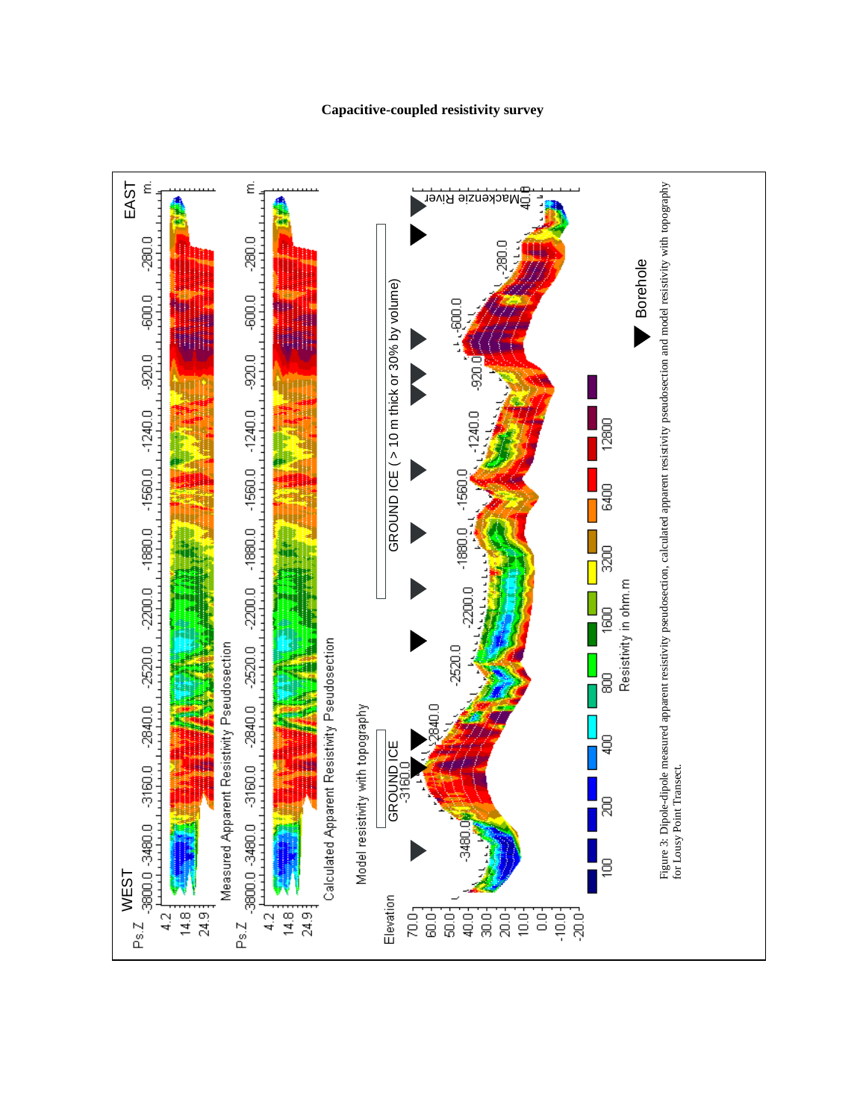

# **Capacitive-coupled resistivity survey**